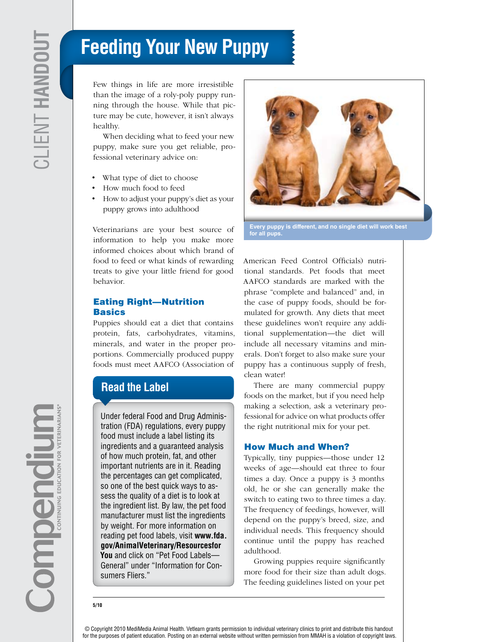# **Feeding Your New Puppy**

Few things in life are more irresistible than the image of a roly-poly puppy running through the house. While that picture may be cute, however, it isn't always healthy.

When deciding what to feed your new puppy, make sure you get reliable, professional veterinary advice on:

- What type of diet to choose
- How much food to feed
- How to adjust your puppy's diet as your puppy grows into adulthood

Veterinarians are your best source of information to help you make more informed choices about which brand of food to feed or what kinds of rewarding treats to give your little friend for good behavior.

#### Eating Right—Nutrition **Basics**

Puppies should eat a diet that contains protein, fats, carbohydrates, vitamins, minerals, and water in the proper proportions. Commercially produced puppy foods must meet AAFCO (Association of

## **Read the Label**

Under federal Food and Drug Administration (FDA) regulations, every puppy food must include a label listing its ingredients and a guaranteed analysis of how much protein, fat, and other important nutrients are in it. Reading the percentages can get complicated, so one of the best quick ways to assess the quality of a diet is to look at the ingredient list. By law, the pet food manufacturer must list the ingredients by weight. For more information on reading pet food labels, visit **www.fda. gov/AnimalVeterinary/Resourcesfor You** and click on "Pet Food Labels— General" under "Information for Consumers Fliers."



**Every puppy is different, and no single diet will work best for all pups.**

American Feed Control Officials) nutritional standards. Pet foods that meet AAFCO standards are marked with the phrase "complete and balanced" and, in the case of puppy foods, should be formulated for growth. Any diets that meet these guidelines won't require any additional supplementation—the diet will include all necessary vitamins and minerals. Don't forget to also make sure your puppy has a continuous supply of fresh, clean water!

There are many commercial puppy foods on the market, but if you need help making a selection, ask a veterinary professional for advice on what products offer the right nutritional mix for your pet.

#### How Much and When?

Typically, tiny puppies—those under 12 weeks of age—should eat three to four times a day. Once a puppy is 3 months old, he or she can generally make the switch to eating two to three times a day. The frequency of feedings, however, will depend on the puppy's breed, size, and individual needs. This frequency should continue until the puppy has reached adulthood.

Growing puppies require significantly more food for their size than adult dogs. The feeding guidelines listed on your pet

© Copyright 2010 MediMedia Animal Health. Vetlearn grants permission to individual veterinary clinics to print and distribute this handout for the purposes of patient education. Posting on an external website without written permission from MMAH is a violation of copyright laws.